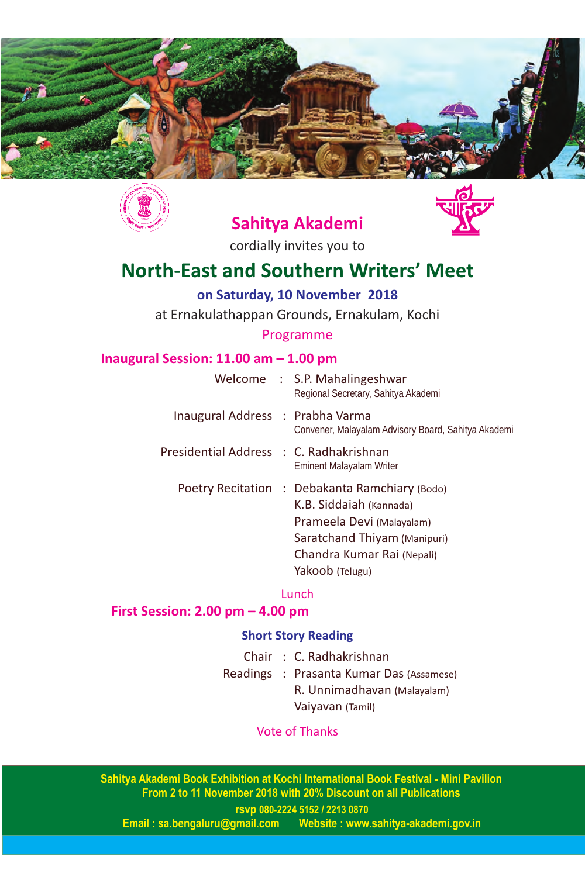



# **Sahitya Akademi**



cordially invites you to

# **North-East and Southern Writers' Meet**

**on Saturday, 10 November 2018**

at Ernakulathappan Grounds, Ernakulam, Kochi

### Programme

### **Inaugural Session: 11.00 am – 1.00 pm**

|                                         | Welcome : S.P. Mahalingeshwar<br>Regional Secretary, Sahitya Akademi                                                                                                                    |
|-----------------------------------------|-----------------------------------------------------------------------------------------------------------------------------------------------------------------------------------------|
| Inaugural Address : Prabha Varma        | Convener, Malayalam Advisory Board, Sahitya Akademi                                                                                                                                     |
| Presidential Address : C. Radhakrishnan | <b>Eminent Malayalam Writer</b>                                                                                                                                                         |
|                                         | Poetry Recitation : Debakanta Ramchiary (Bodo)<br>K.B. Siddaiah (Kannada)<br>Prameela Devi (Malayalam)<br>Saratchand Thiyam (Manipuri)<br>Chandra Kumar Rai (Nepali)<br>Yakoob (Telugu) |

### Lunch

## **First Session: 2.00 pm – 4.00 pm**

### **Short Story Reading**

- Chair : C. Radhakrishnan
- Readings : Prasanta Kumar Das (Assamese) R. Unnimadhavan (Malayalam) Vaiyavan (Tamil)

### Vote of Thanks

**Sahitya Akademi Book Exhibition at Kochi International Book Festival - Mini Pavilion From 2 to 11 November 2018 with 20% Discount on all Publications**

**rsvp 080-2224 5152 / 2213 0870 Kebsite : www.sahitya-akademi.gov.in**